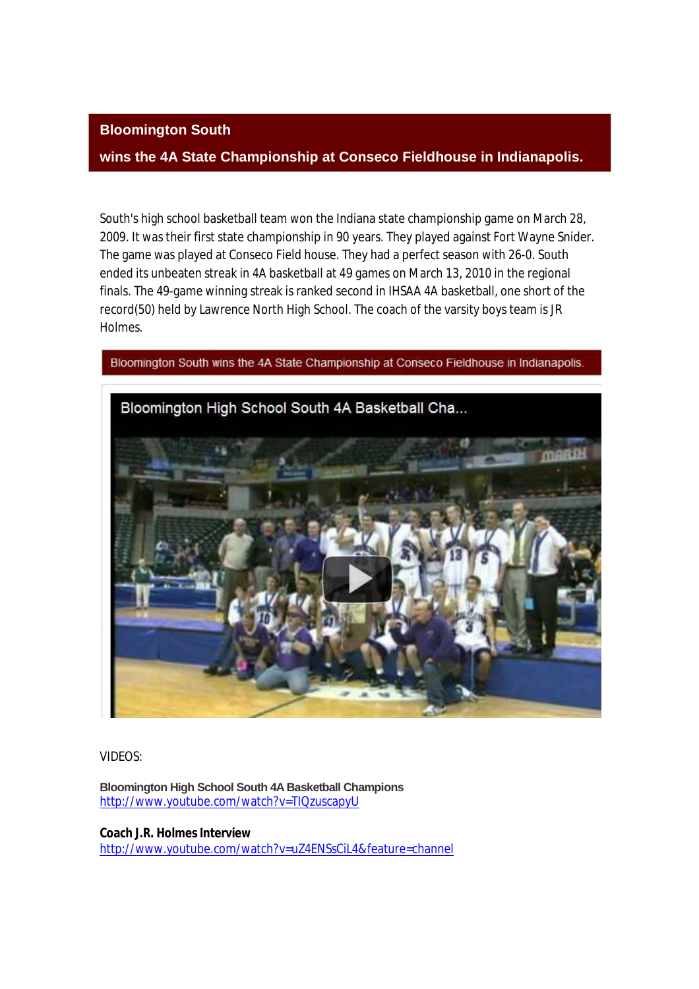## **Bloomington South**

## **wins the 4A State Championship at Conseco Fieldhouse in Indianapolis.**

South's high school basketball team won the Indiana state championship game on March 28, 2009. It was their first state championship in 90 years. They played against Fort Wayne Snider. The game was played at Conseco Field house. They had a perfect season with 26-0. South ended its unbeaten streak in 4A basketball at 49 games on March 13, 2010 in the regional finals. The 49-game winning streak is ranked second in IHSAA 4A basketball, one short of the record(50) held by Lawrence North High School. The coach of the varsity boys team is JR Holmes.

Bloomington South wins the 4A State Championship at Conseco Fieldhouse in Indianapolis.



VIDEOS:

**Bloomington High School South 4A Basketball Champions** http://www.youtube.com/watch?v=TIQzuscapyU

**Coach J.R. Holmes Interview** http://www.youtube.com/watch?v=uZ4ENSsCiL4&feature=channel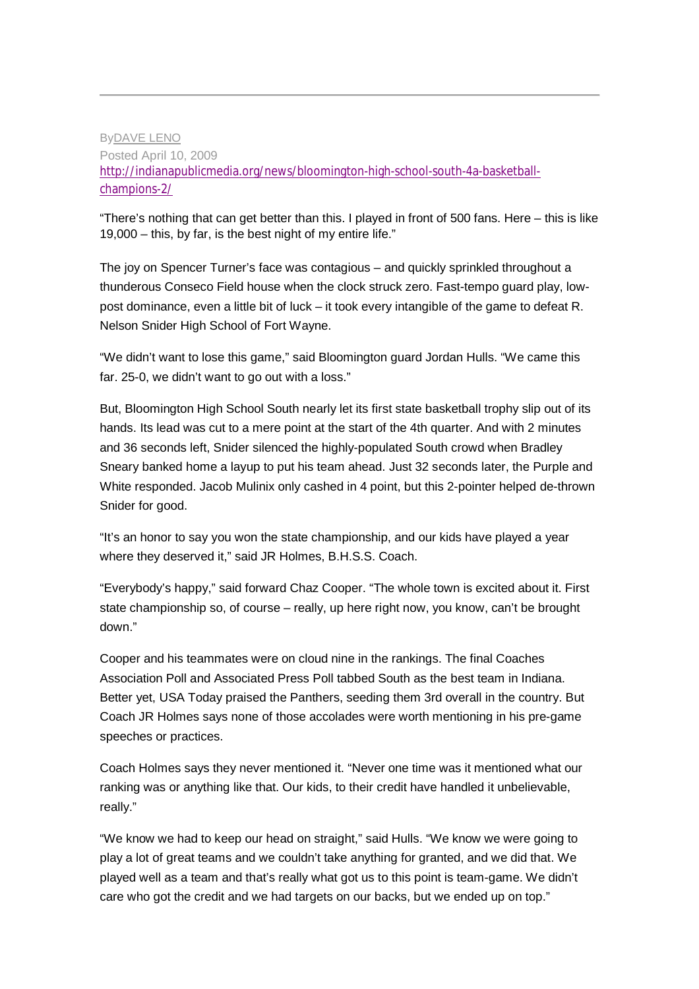## ByDAVE LENO Posted April 10, 2009 http://indianapublicmedia.org/news/bloomington-high-school-south-4a-basketballchampions-2/

"There's nothing that can get better than this. I played in front of 500 fans. Here – this is like 19,000 – this, by far, is the best night of my entire life."

The joy on Spencer Turner's face was contagious – and quickly sprinkled throughout a thunderous Conseco Field house when the clock struck zero. Fast-tempo guard play, lowpost dominance, even a little bit of luck – it took every intangible of the game to defeat R. Nelson Snider High School of Fort Wayne.

"We didn't want to lose this game," said Bloomington guard Jordan Hulls. "We came this far. 25-0, we didn't want to go out with a loss."

But, Bloomington High School South nearly let its first state basketball trophy slip out of its hands. Its lead was cut to a mere point at the start of the 4th quarter. And with 2 minutes and 36 seconds left, Snider silenced the highly-populated South crowd when Bradley Sneary banked home a layup to put his team ahead. Just 32 seconds later, the Purple and White responded. Jacob Mulinix only cashed in 4 point, but this 2-pointer helped de-thrown Snider for good.

"It's an honor to say you won the state championship, and our kids have played a year where they deserved it," said JR Holmes, B.H.S.S. Coach.

"Everybody's happy," said forward Chaz Cooper. "The whole town is excited about it. First state championship so, of course – really, up here right now, you know, can't be brought down."

Cooper and his teammates were on cloud nine in the rankings. The final Coaches Association Poll and Associated Press Poll tabbed South as the best team in Indiana. Better yet, USA Today praised the Panthers, seeding them 3rd overall in the country. But Coach JR Holmes says none of those accolades were worth mentioning in his pre-game speeches or practices.

Coach Holmes says they never mentioned it. "Never one time was it mentioned what our ranking was or anything like that. Our kids, to their credit have handled it unbelievable, really."

"We know we had to keep our head on straight," said Hulls. "We know we were going to play a lot of great teams and we couldn't take anything for granted, and we did that. We played well as a team and that's really what got us to this point is team-game. We didn't care who got the credit and we had targets on our backs, but we ended up on top."